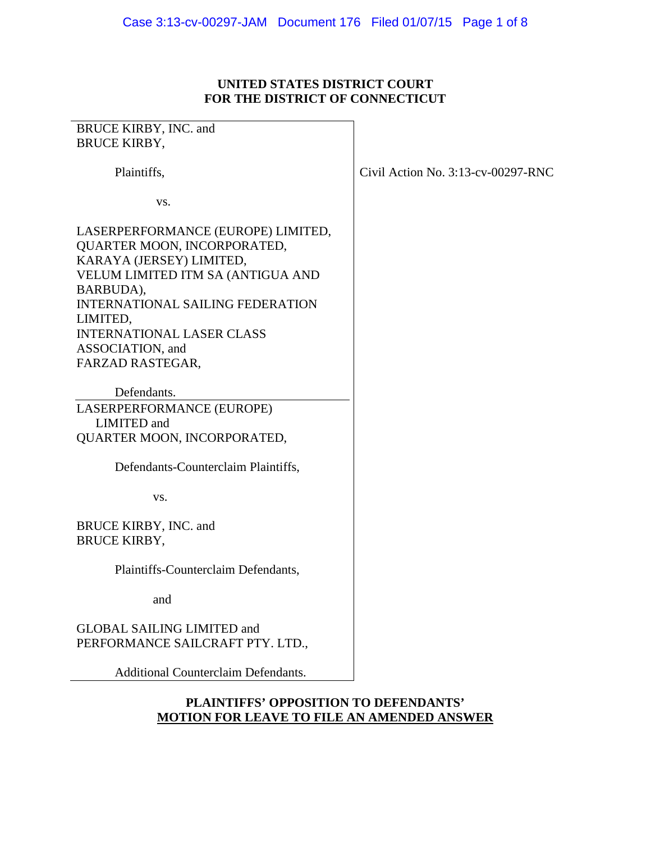# **UNITED STATES DISTRICT COURT FOR THE DISTRICT OF CONNECTICUT**

| BRUCE KIRBY, INC. and                      |                                       |
|--------------------------------------------|---------------------------------------|
| <b>BRUCE KIRBY,</b>                        |                                       |
|                                            |                                       |
| Plaintiffs,                                | Civil Action No. $3:13$ -cv-00297-RNC |
|                                            |                                       |
| VS.                                        |                                       |
|                                            |                                       |
| LASERPERFORMANCE (EUROPE) LIMITED,         |                                       |
| QUARTER MOON, INCORPORATED,                |                                       |
| KARAYA (JERSEY) LIMITED,                   |                                       |
| VELUM LIMITED ITM SA (ANTIGUA AND          |                                       |
| BARBUDA),                                  |                                       |
| <b>INTERNATIONAL SAILING FEDERATION</b>    |                                       |
|                                            |                                       |
| LIMITED,                                   |                                       |
| <b>INTERNATIONAL LASER CLASS</b>           |                                       |
| ASSOCIATION, and                           |                                       |
| FARZAD RASTEGAR,                           |                                       |
|                                            |                                       |
| Defendants.                                |                                       |
| LASERPERFORMANCE (EUROPE)                  |                                       |
| <b>LIMITED</b> and                         |                                       |
| QUARTER MOON, INCORPORATED,                |                                       |
|                                            |                                       |
| Defendants-Counterclaim Plaintiffs,        |                                       |
|                                            |                                       |
| VS.                                        |                                       |
|                                            |                                       |
|                                            |                                       |
| BRUCE KIRBY, INC. and                      |                                       |
| <b>BRUCE KIRBY,</b>                        |                                       |
|                                            |                                       |
| Plaintiffs-Counterclaim Defendants,        |                                       |
|                                            |                                       |
| and                                        |                                       |
|                                            |                                       |
| <b>GLOBAL SAILING LIMITED and</b>          |                                       |
| PERFORMANCE SAILCRAFT PTY. LTD.,           |                                       |
|                                            |                                       |
| <b>Additional Counterclaim Defendants.</b> |                                       |
|                                            |                                       |

## **PLAINTIFFS' OPPOSITION TO DEFENDANTS' MOTION FOR LEAVE TO FILE AN AMENDED ANSWER**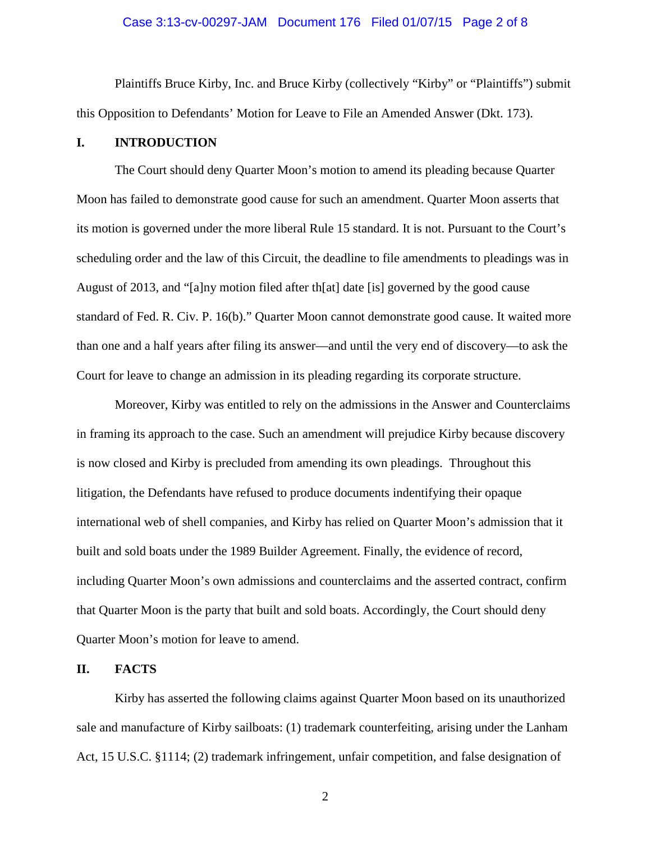#### Case 3:13-cv-00297-JAM Document 176 Filed 01/07/15 Page 2 of 8

Plaintiffs Bruce Kirby, Inc. and Bruce Kirby (collectively "Kirby" or "Plaintiffs") submit this Opposition to Defendants' Motion for Leave to File an Amended Answer (Dkt. 173).

### **I. INTRODUCTION**

The Court should deny Quarter Moon's motion to amend its pleading because Quarter Moon has failed to demonstrate good cause for such an amendment. Quarter Moon asserts that its motion is governed under the more liberal Rule 15 standard. It is not. Pursuant to the Court's scheduling order and the law of this Circuit, the deadline to file amendments to pleadings was in August of 2013, and "[a]ny motion filed after th[at] date [is] governed by the good cause standard of Fed. R. Civ. P. 16(b)." Quarter Moon cannot demonstrate good cause. It waited more than one and a half years after filing its answer—and until the very end of discovery—to ask the Court for leave to change an admission in its pleading regarding its corporate structure.

Moreover, Kirby was entitled to rely on the admissions in the Answer and Counterclaims in framing its approach to the case. Such an amendment will prejudice Kirby because discovery is now closed and Kirby is precluded from amending its own pleadings. Throughout this litigation, the Defendants have refused to produce documents indentifying their opaque international web of shell companies, and Kirby has relied on Quarter Moon's admission that it built and sold boats under the 1989 Builder Agreement. Finally, the evidence of record, including Quarter Moon's own admissions and counterclaims and the asserted contract, confirm that Quarter Moon is the party that built and sold boats. Accordingly, the Court should deny Quarter Moon's motion for leave to amend.

#### **II. FACTS**

Kirby has asserted the following claims against Quarter Moon based on its unauthorized sale and manufacture of Kirby sailboats: (1) trademark counterfeiting, arising under the Lanham Act, 15 U.S.C. §1114; (2) trademark infringement, unfair competition, and false designation of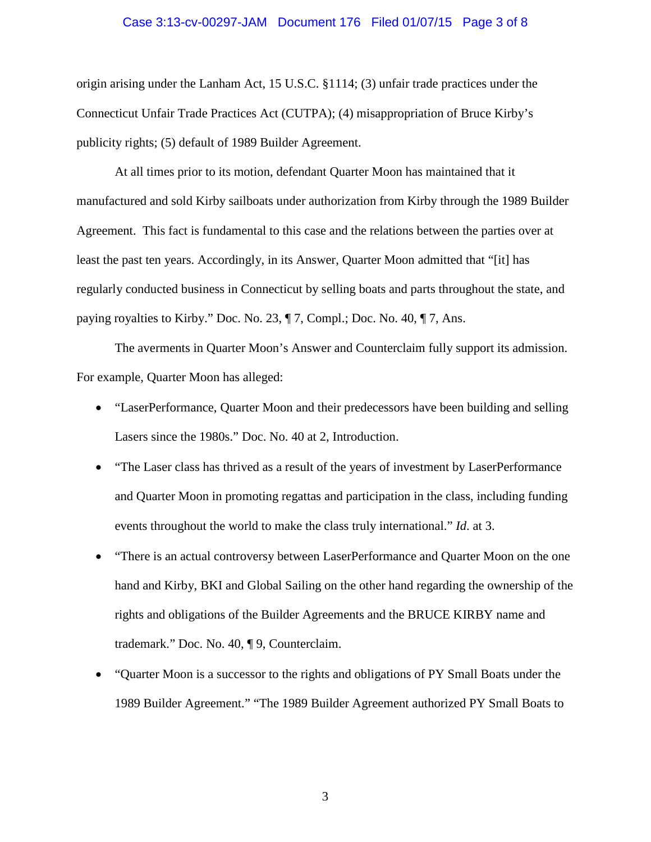#### Case 3:13-cv-00297-JAM Document 176 Filed 01/07/15 Page 3 of 8

origin arising under the Lanham Act, 15 U.S.C. §1114; (3) unfair trade practices under the Connecticut Unfair Trade Practices Act (CUTPA); (4) misappropriation of Bruce Kirby's publicity rights; (5) default of 1989 Builder Agreement.

At all times prior to its motion, defendant Quarter Moon has maintained that it manufactured and sold Kirby sailboats under authorization from Kirby through the 1989 Builder Agreement. This fact is fundamental to this case and the relations between the parties over at least the past ten years. Accordingly, in its Answer, Quarter Moon admitted that "[it] has regularly conducted business in Connecticut by selling boats and parts throughout the state, and paying royalties to Kirby." Doc. No. 23, ¶ 7, Compl.; Doc. No. 40, ¶ 7, Ans.

The averments in Quarter Moon's Answer and Counterclaim fully support its admission. For example, Quarter Moon has alleged:

- "LaserPerformance, Quarter Moon and their predecessors have been building and selling Lasers since the 1980s." Doc. No. 40 at 2, Introduction.
- "The Laser class has thrived as a result of the years of investment by LaserPerformance and Quarter Moon in promoting regattas and participation in the class, including funding events throughout the world to make the class truly international." *Id*. at 3.
- "There is an actual controversy between LaserPerformance and Quarter Moon on the one hand and Kirby, BKI and Global Sailing on the other hand regarding the ownership of the rights and obligations of the Builder Agreements and the BRUCE KIRBY name and trademark." Doc. No. 40, ¶ 9, Counterclaim.
- "Quarter Moon is a successor to the rights and obligations of PY Small Boats under the 1989 Builder Agreement." "The 1989 Builder Agreement authorized PY Small Boats to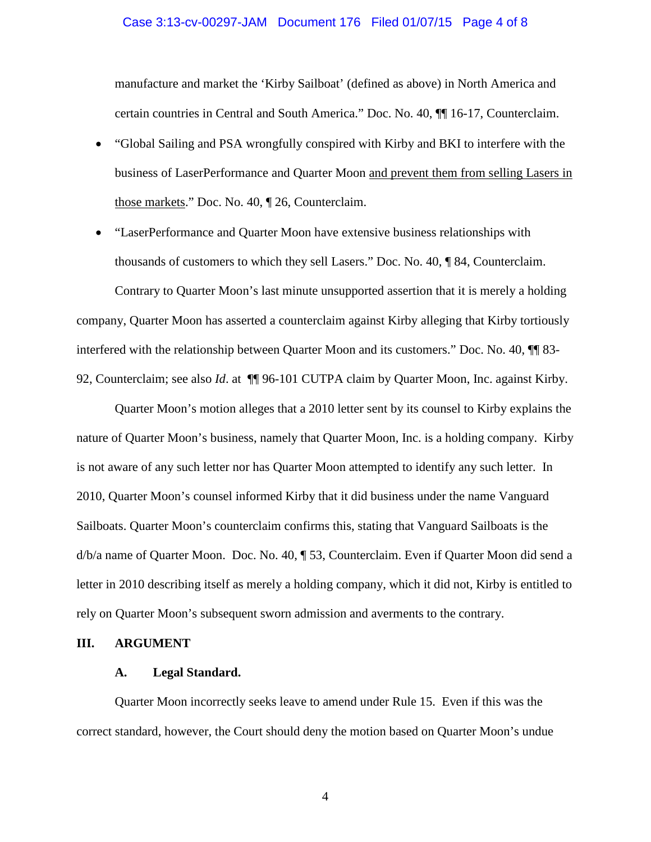#### Case 3:13-cv-00297-JAM Document 176 Filed 01/07/15 Page 4 of 8

manufacture and market the 'Kirby Sailboat' (defined as above) in North America and certain countries in Central and South America." Doc. No. 40, ¶¶ 16-17, Counterclaim.

- "Global Sailing and PSA wrongfully conspired with Kirby and BKI to interfere with the business of LaserPerformance and Quarter Moon and prevent them from selling Lasers in those markets." Doc. No. 40, ¶ 26, Counterclaim.
- "LaserPerformance and Quarter Moon have extensive business relationships with thousands of customers to which they sell Lasers." Doc. No. 40, ¶ 84, Counterclaim.

Contrary to Quarter Moon's last minute unsupported assertion that it is merely a holding company, Quarter Moon has asserted a counterclaim against Kirby alleging that Kirby tortiously interfered with the relationship between Quarter Moon and its customers." Doc. No. 40, ¶¶ 83- 92, Counterclaim; see also *Id*. at ¶¶ 96-101 CUTPA claim by Quarter Moon, Inc. against Kirby.

Quarter Moon's motion alleges that a 2010 letter sent by its counsel to Kirby explains the nature of Quarter Moon's business, namely that Quarter Moon, Inc. is a holding company. Kirby is not aware of any such letter nor has Quarter Moon attempted to identify any such letter. In 2010, Quarter Moon's counsel informed Kirby that it did business under the name Vanguard Sailboats. Quarter Moon's counterclaim confirms this, stating that Vanguard Sailboats is the d/b/a name of Quarter Moon. Doc. No. 40, ¶ 53, Counterclaim. Even if Quarter Moon did send a letter in 2010 describing itself as merely a holding company, which it did not, Kirby is entitled to rely on Quarter Moon's subsequent sworn admission and averments to the contrary.

### **III. ARGUMENT**

## **A. Legal Standard.**

Quarter Moon incorrectly seeks leave to amend under Rule 15. Even if this was the correct standard, however, the Court should deny the motion based on Quarter Moon's undue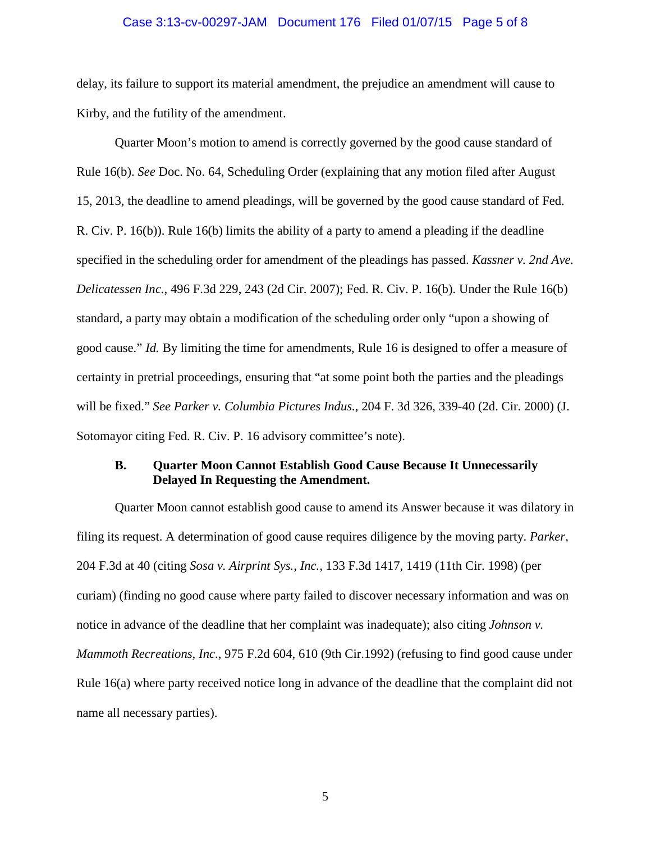#### Case 3:13-cv-00297-JAM Document 176 Filed 01/07/15 Page 5 of 8

delay, its failure to support its material amendment, the prejudice an amendment will cause to Kirby, and the futility of the amendment.

Quarter Moon's motion to amend is correctly governed by the good cause standard of Rule 16(b). *See* Doc. No. 64, Scheduling Order (explaining that any motion filed after August 15, 2013, the deadline to amend pleadings, will be governed by the good cause standard of Fed. R. Civ. P. 16(b)). Rule 16(b) limits the ability of a party to amend a pleading if the deadline specified in the scheduling order for amendment of the pleadings has passed. *Kassner v. 2nd Ave. Delicatessen Inc.*, 496 F.3d 229, 243 (2d Cir. 2007); Fed. R. Civ. P. 16(b). Under the Rule 16(b) standard, a party may obtain a modification of the scheduling order only "upon a showing of good cause." *Id.* By limiting the time for amendments, Rule 16 is designed to offer a measure of certainty in pretrial proceedings, ensuring that "at some point both the parties and the pleadings will be fixed." *See Parker v. Columbia Pictures Indus.*, 204 F. 3d 326, 339-40 (2d. Cir. 2000) (J. Sotomayor citing Fed. R. Civ. P. 16 advisory committee's note).

## **B. Quarter Moon Cannot Establish Good Cause Because It Unnecessarily Delayed In Requesting the Amendment.**

Quarter Moon cannot establish good cause to amend its Answer because it was dilatory in filing its request. A determination of good cause requires diligence by the moving party. *Parker*, 204 F.3d at 40 (citing *Sosa v. Airprint Sys., Inc.*, 133 F.3d 1417, 1419 (11th Cir. 1998) (per curiam) (finding no good cause where party failed to discover necessary information and was on notice in advance of the deadline that her complaint was inadequate); also citing *Johnson v. Mammoth Recreations, Inc*., 975 F.2d 604, 610 (9th Cir.1992) (refusing to find good cause under Rule 16(a) where party received notice long in advance of the deadline that the complaint did not name all necessary parties).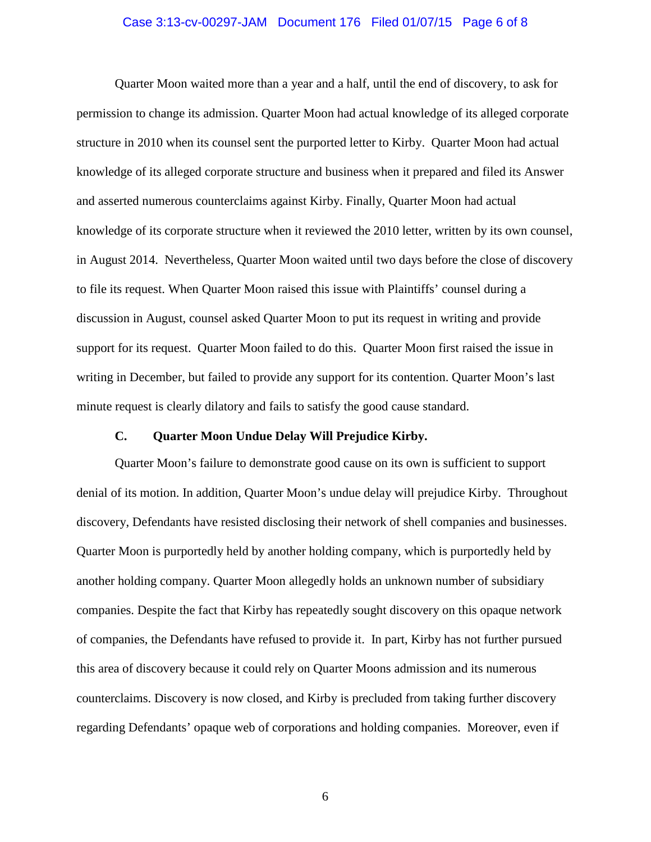#### Case 3:13-cv-00297-JAM Document 176 Filed 01/07/15 Page 6 of 8

Quarter Moon waited more than a year and a half, until the end of discovery, to ask for permission to change its admission. Quarter Moon had actual knowledge of its alleged corporate structure in 2010 when its counsel sent the purported letter to Kirby. Quarter Moon had actual knowledge of its alleged corporate structure and business when it prepared and filed its Answer and asserted numerous counterclaims against Kirby. Finally, Quarter Moon had actual knowledge of its corporate structure when it reviewed the 2010 letter, written by its own counsel, in August 2014. Nevertheless, Quarter Moon waited until two days before the close of discovery to file its request. When Quarter Moon raised this issue with Plaintiffs' counsel during a discussion in August, counsel asked Quarter Moon to put its request in writing and provide support for its request. Quarter Moon failed to do this. Quarter Moon first raised the issue in writing in December, but failed to provide any support for its contention. Quarter Moon's last minute request is clearly dilatory and fails to satisfy the good cause standard.

# **C. Quarter Moon Undue Delay Will Prejudice Kirby.**

Quarter Moon's failure to demonstrate good cause on its own is sufficient to support denial of its motion. In addition, Quarter Moon's undue delay will prejudice Kirby. Throughout discovery, Defendants have resisted disclosing their network of shell companies and businesses. Quarter Moon is purportedly held by another holding company, which is purportedly held by another holding company. Quarter Moon allegedly holds an unknown number of subsidiary companies. Despite the fact that Kirby has repeatedly sought discovery on this opaque network of companies, the Defendants have refused to provide it. In part, Kirby has not further pursued this area of discovery because it could rely on Quarter Moons admission and its numerous counterclaims. Discovery is now closed, and Kirby is precluded from taking further discovery regarding Defendants' opaque web of corporations and holding companies. Moreover, even if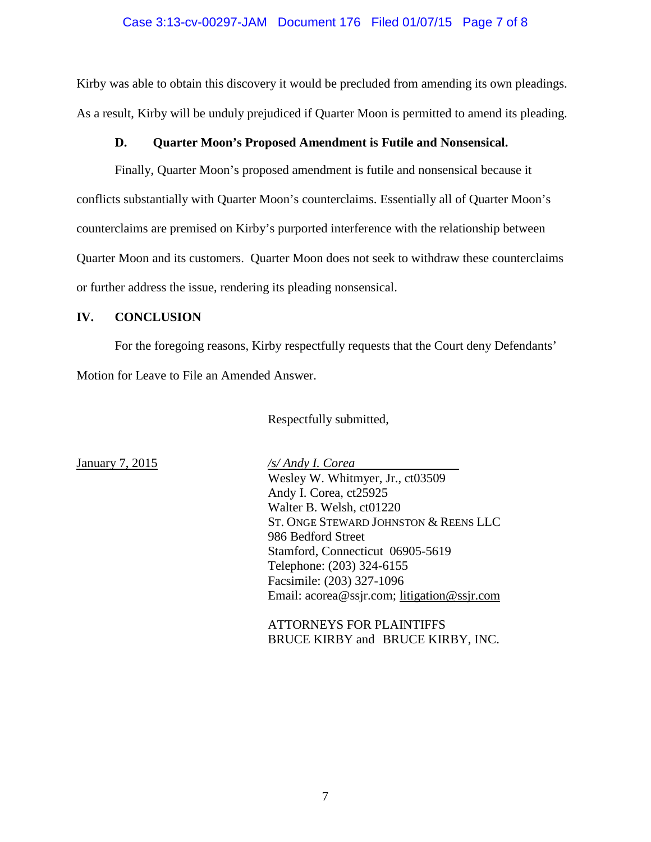### Case 3:13-cv-00297-JAM Document 176 Filed 01/07/15 Page 7 of 8

Kirby was able to obtain this discovery it would be precluded from amending its own pleadings. As a result, Kirby will be unduly prejudiced if Quarter Moon is permitted to amend its pleading.

## **D. Quarter Moon's Proposed Amendment is Futile and Nonsensical.**

Finally, Quarter Moon's proposed amendment is futile and nonsensical because it conflicts substantially with Quarter Moon's counterclaims. Essentially all of Quarter Moon's counterclaims are premised on Kirby's purported interference with the relationship between Quarter Moon and its customers. Quarter Moon does not seek to withdraw these counterclaims or further address the issue, rendering its pleading nonsensical.

## **IV. CONCLUSION**

For the foregoing reasons, Kirby respectfully requests that the Court deny Defendants' Motion for Leave to File an Amended Answer.

Respectfully submitted,

January 7, 2015 */s/ Andy I. Corea* Wesley W. Whitmyer, Jr., ct03509 Andy I. Corea, ct25925 Walter B. Welsh, ct01220 ST. ONGE STEWARD JOHNSTON & REENS LLC 986 Bedford Street Stamford, Connecticut 06905-5619 Telephone: (203) 324-6155 Facsimile: (203) 327-1096 Email: acorea@ssjr.com; [litigation@ssjr.com](mailto:litigation@ssjr.com)

> ATTORNEYS FOR PLAINTIFFS BRUCE KIRBY and BRUCE KIRBY, INC.